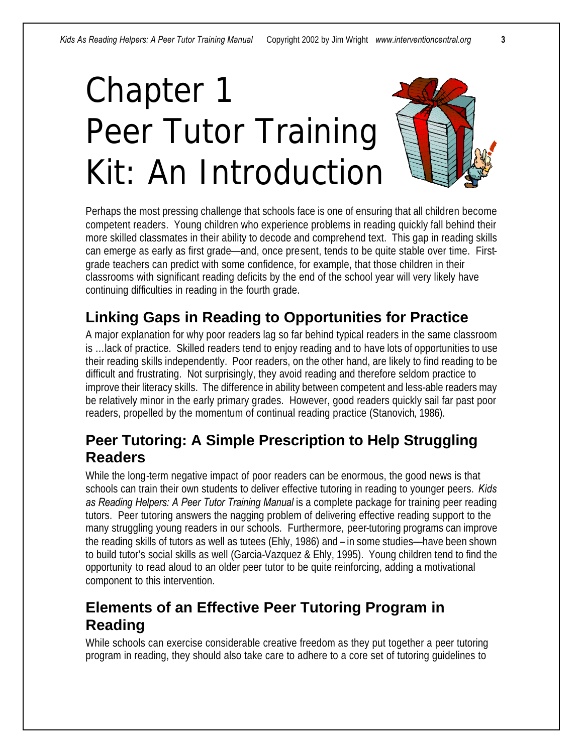# Chapter 1 Peer Tutor Training Kit: An Introduction



Perhaps the most pressing challenge that schools face is one of ensuring that all children become competent readers. Young children who experience problems in reading quickly fall behind their more skilled classmates in their ability to decode and comprehend text. This gap in reading skills can emerge as early as first grade—and, once present, tends to be quite stable over time. Firstgrade teachers can predict with some confidence, for example, that those children in their classrooms with significant reading deficits by the end of the school year will very likely have continuing difficulties in reading in the fourth grade.

## **Linking Gaps in Reading to Opportunities for Practice**

A major explanation for why poor readers lag so far behind typical readers in the same classroom is …lack of practice. Skilled readers tend to enjoy reading and to have lots of opportunities to use their reading skills independently. Poor readers, on the other hand, are likely to find reading to be difficult and frustrating. Not surprisingly, they avoid reading and therefore seldom practice to improve their literacy skills. The difference in ability between competent and less-able readers may be relatively minor in the early primary grades. However, good readers quickly sail far past poor readers, propelled by the momentum of continual reading practice (Stanovich, 1986).

#### **Peer Tutoring: A Simple Prescription to Help Struggling Readers**

While the long-term negative impact of poor readers can be enormous, the good news is that schools can train their own students to deliver effective tutoring in reading to younger peers. *Kids as Reading Helpers: A Peer Tutor Training Manual* is a complete package for training peer reading tutors. Peer tutoring answers the nagging problem of delivering effective reading support to the many struggling young readers in our schools. Furthermore, peer-tutoring programs can improve the reading skills of tutors as well as tutees (Ehly, 1986) and – in some studies—have been shown to build tutor's social skills as well (Garcia-Vazquez & Ehly, 1995). Young children tend to find the opportunity to read aloud to an older peer tutor to be quite reinforcing, adding a motivational component to this intervention.

## **Elements of an Effective Peer Tutoring Program in Reading**

While schools can exercise considerable creative freedom as they put together a peer tutoring program in reading, they should also take care to adhere to a core set of tutoring guidelines to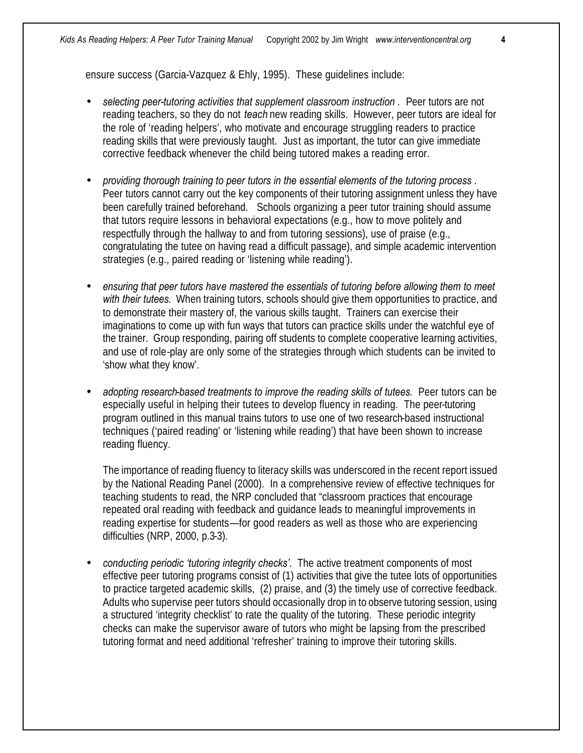ensure success (Garcia-Vazquez & Ehly, 1995). These guidelines include:

- *selecting peer-tutoring activities that supplement classroom instruction .* Peer tutors are not reading teachers, so they do not *teach* new reading skills. However, peer tutors are ideal for the role of 'reading helpers', who motivate and encourage struggling readers to practice reading skills that were previously taught. Just as important, the tutor can give immediate corrective feedback whenever the child being tutored makes a reading error.
- *providing thorough training to peer tutors in the essential elements of the tutoring process .* Peer tutors cannot carry out the key components of their tutoring assignment unless they have been carefully trained beforehand. Schools organizing a peer tutor training should assume that tutors require lessons in behavioral expectations (e.g., how to move politely and respectfully through the hallway to and from tutoring sessions), use of praise (e.g., congratulating the tutee on having read a difficult passage), and simple academic intervention strategies (e.g., paired reading or 'listening while reading').
- *ensuring that peer tutors have mastered the essentials of tutoring before allowing them to meet with their tutees.* When training tutors, schools should give them opportunities to practice, and to demonstrate their mastery of, the various skills taught. Trainers can exercise their imaginations to come up with fun ways that tutors can practice skills under the watchful eye of the trainer. Group responding, pairing off students to complete cooperative learning activities, and use of role-play are only some of the strategies through which students can be invited to 'show what they know'.
- *adopting research-based treatments to improve the reading skills of tutees.* Peer tutors can be especially useful in helping their tutees to develop fluency in reading. The peer-tutoring program outlined in this manual trains tutors to use one of two research-based instructional techniques ('paired reading' or 'listening while reading') that have been shown to increase reading fluency.

The importance of reading fluency to literacy skills was underscored in the recent report issued by the National Reading Panel (2000). In a comprehensive review of effective techniques for teaching students to read, the NRP concluded that "classroom practices that encourage repeated oral reading with feedback and guidance leads to meaningful improvements in reading expertise for students—for good readers as well as those who are experiencing difficulties (NRP, 2000, p.3-3).

• *conducting periodic 'tutoring integrity checks'.* The active treatment components of most effective peer tutoring programs consist of (1) activities that give the tutee lots of opportunities to practice targeted academic skills, (2) praise, and (3) the timely use of corrective feedback. Adults who supervise peer tutors should occasionally drop in to observe tutoring session, using a structured 'integrity checklist' to rate the quality of the tutoring. These periodic integrity checks can make the supervisor aware of tutors who might be lapsing from the prescribed tutoring format and need additional 'refresher' training to improve their tutoring skills.